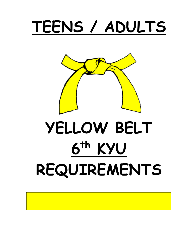# TEENS / ADULTS